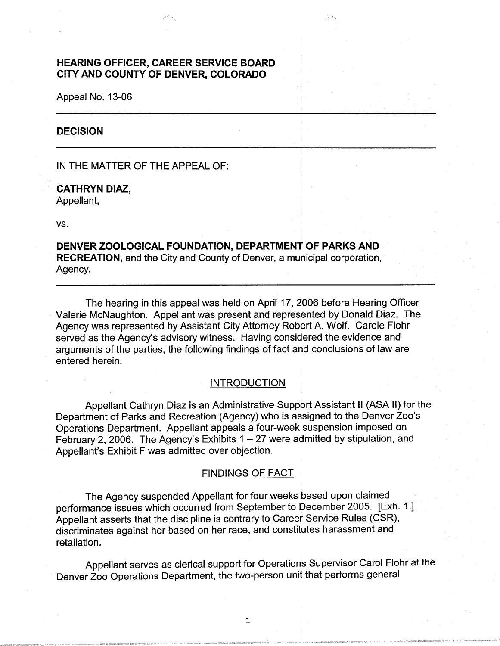# **HEARING OFFICER, CAREER SERVICE BOARD CITY AND COUNTY OF DENVER, COLORADO**

Appeal No. 13-06

#### **DECISION**

IN THE MATTER OF THE APPEAL OF:

**CATHRYN DIAZ,**  Appellant,

vs.

**DENVER ZOOLOGICAL FOUNDATION, DEPARTMENT OF PARKS AND RECREATION,** and the City and County of Denver, a municipal corporation, Agency.

The hearing in this appeal was held on April 17, 2006 before Hearing Officer Valerie McNaughton. Appellant was present and represented by Donald Diaz. The Agency was represented by Assistant City Attorney Robert A. Wolf. Carole Flohr served as the Agency's advisory witness. Having considered the evidence and arguments of the parties, the following findings of fact and conclusions of law are entered herein.

# INTRODUCTION

Appellant Cathryn Diaz is an Administrative Support Assistant II (ASA II) for the Department of Parks and Recreation (Agency) who is assigned to the Denver Zoo's Operations Department. Appellant appeals a four-week suspension imposed on February 2, 2006. The Agency's Exhibits  $1 - 27$  were admitted by stipulation, and Appellant's Exhibit F was admitted over objection.

#### FINDINGS OF FACT

The Agency suspended Appellant for four weeks based upon claimed performance issues which occurred from September to December 2005. [Exh. 1.] Appellant asserts that the discipline is contrary to Career Service Rules (CSR), discriminates against her based on her race, and constitutes harassment and retaliation.

Appellant serves as clerical support for Operations Supervisor Carol Flohr at the Denver Zoo Operations Department, the two-person unit that performs general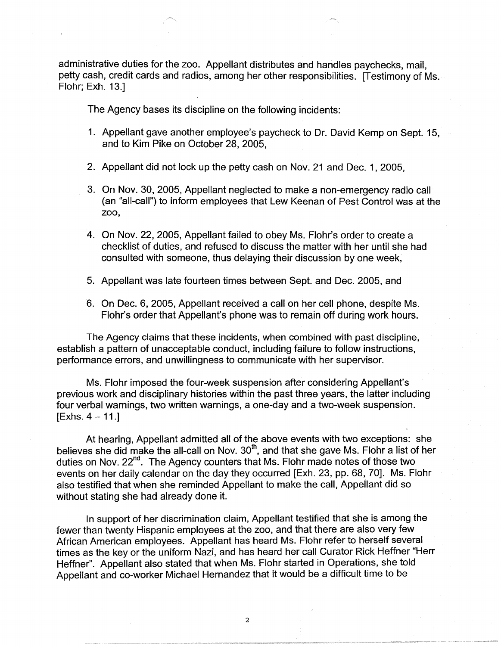administrative duties for the zoo. Appellant distributes and handles paychecks, mail, petty cash, credit cards and radios, among her other responsibilities. [Testimony of Ms. Flohr; Exh. 13.]

The Agency bases its discipline on the following incidents:

- 1. Appellant gave another employee's paycheck to Dr. David Kemp on Sept. 15, and to Kim Pike on October 28, 2005,
- 2. Appellant did not lock up the petty cash on Nov. 21 and Dec. 1, 2005,
- 3. On Nov. 30, 2005, Appellant neglected to make a non-emergency radio call (an "all-call") to inform employees that Lew Keenan of Pest Control was at the zoo,
- 4. On Nov. 22, 2005, Appellant failed to obey Ms. Flohr's order to create a checklist of duties, and refused to discuss the matter with her until she had consulted with someone, thus delaying their discussion by one week,
- 5. Appellant was late fourteen times between Sept. and Dec. 2005, and
- 6. On Dec. 6, 2005, Appellant received a call on her cell phone, despite Ms. Flohr's order that Appellant's phone was to remain off during work hours.

The Agency claims that these incidents, when combined with past discipline, establish a pattern of unacceptable conduct, including failure to follow instructions, performance errors, and unwillingness to communicate with her supervisor.

Ms. Flohr imposed the four-week suspension after considering Appellant's previous work and disciplinary histories within the past three years, the latter including four verbal warnings, two written warnings, a one-day and a two-week suspension.  $[Exhs. 4 - 11.]$ 

At hearing, Appellant admitted all of the above events with two exceptions: she believes she did make the all-call on Nov.  $30<sup>th</sup>$ , and that she gave Ms. Flohr a list of her duties on Nov. 22<sup>nd</sup>. The Agency counters that Ms. Flohr made notes of those two events on her daily calendar on the day they occurred [Exh. 23, pp. 68, 70]. Ms. Flohr also testified that when she reminded Appellant to make the call, Appellant did so without stating she had already done it.

In support of her discrimination claim, Appellant testified that she is among the fewer than twenty Hispanic employees at the zoo, and that there are also very few African American employees. Appellant has heard Ms. Flohr refer to herself several times as the key or the uniform Nazi, and has heard her call Curator Rick Heffner "Herr Heffner". Appellant also stated that when Ms. Flohr started in Operations, she told Appellant and co-worker Michael Hernandez that it would be a difficult time to be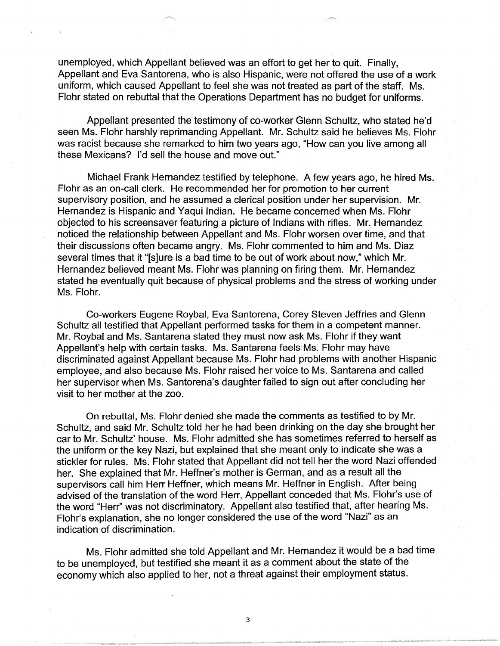unemployed, which Appellant believed was an effort to get her to quit. Finally, Appellant and Eva Santorena, who is also Hispanic, were not offered the use of a work uniform, which caused Appellant to feel she was not treated as part of the staff. Ms. Flohr stated on rebuttal that the Operations Department has no budget for uniforms.

Appellant presented the testimony of co-worker Glenn Schultz, who stated he'd seen Ms. Flohr harshly reprimanding Appellant. Mr. Schultz said he believes Ms. Flohr was racist because she remarked to him two years ago, "How can you live among all these Mexicans? I'd sell the house and move out."

Michael Frank Hernandez testified by telephone. A few years ago, he hired Ms. Flohr as an on-call clerk. He recommended her for promotion to her current supervisory position, and he assumed a clerical position under her supervision. Mr. Hernandez is Hispanic and Yaqui Indian. He became concerned when Ms. Flohr objected to his screensaver featuring a picture of Indians with rifles. Mr. Hernandez noticed the relationship between Appellant and Ms. Flohr worsen over time, and that their discussions often became angry. Ms. Flohr commented to him and Ms. Diaz several times that it "[s]ure is a bad time to be out of work about now," which Mr. Hernandez believed meant Ms. Flohr was planning on firing them. Mr. Hernandez stated he eventually quit because of physical problems and the stress of working under Ms. Flohr.

Co-workers Eugene Roybal, Eva Santorena, Corey Steven Jeffries and Glenn Schultz all testified that Appellant performed tasks for them in a competent manner. Mr. Roybal and Ms. Santarena stated they must now ask Ms. Flohr if they want Appellant's help with certain tasks. Ms. Santarena feels Ms. Flohr may have discriminated against Appellant because Ms. Flohr had problems with another Hispanic employee, and also because Ms. Flohr raised her voice to Ms. Santarena and called her supervisor when Ms. Santorena's daughter failed to sign out after concluding her visit to her mother at the zoo.

On rebuttal, Ms. Flohr denied she made the comments as testified to by Mr. Schultz, and said Mr. Schultz told her he had been drinking on the day she brought her car to Mr. Schultz' house. Ms. Flohr admitted she has sometimes referred to herself as the uniform or the key Nazi, but explained that she meant only to indicate she was a stickler for rules. Ms. Flohr stated that Appellant did not tell her the word Nazi offended her. She explained that Mr. Heffner's mother is German, and as a result all the supervisors call him Herr Heffner, which means Mr. Heffner in English. After being advised of the translation of the word Herr, Appellant conceded that Ms. Flohr's use of the word "Herr'' was not discriminatory. Appellant also testified that, after hearing Ms. Flohr's explanation, she no longer considered the use of the word "Nazi" as an indication of discrimination.

Ms. Flohr admitted she told Appellant and Mr. Hernandez it would be a bad time to be unemployed, but testified she meant it as a comment about the state of the economy which also applied to her, not a threat against their employment status.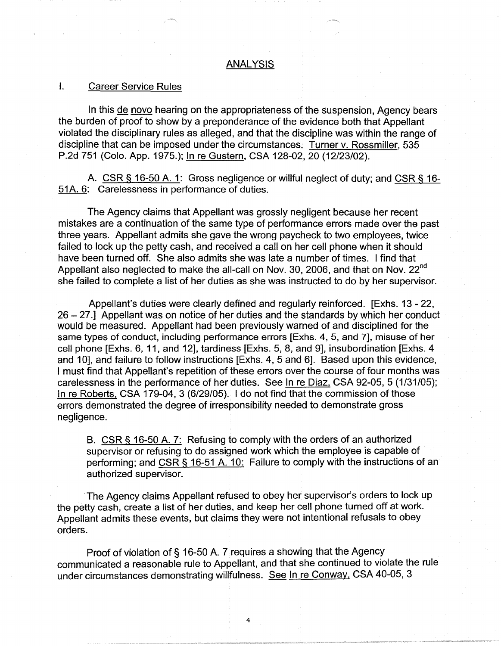### ANALYSIS

#### I. Career Service Rules

In this de novo hearing on the appropriateness of the suspension, Agency bears the burden of proof to show by a preponderance of the evidence both that Appellant violated the disciplinary rules as alleged, and that the discipline was within the range of discipline that can be imposed under the circumstances. Turner v. Rossmiller, 535 P.2d 751 (Colo. App. 1975.); In re Gustern, CSA 128-02, 20 (12/23/02).

A. CSR § 16-50 A. 1: Gross negligence or willful neglect of duty; and CSR § 16- 51A. 6: Carelessness in performance of duties.

The Agency claims that Appellant was grossly negligent because her recent mistakes are a continuation of the same type of performance errors made over the past three years. Appellant admits she gave the wrong paycheck to two employees, twice failed to lock up the petty cash, and received a call on her cell phone when it should have been turned off. She also admits she was late a number of times. I find that Appellant also neglected to make the all-call on Nov. 30, 2006, and that on Nov. 22<sup>nd</sup> she failed to complete a list of her duties as she was instructed to do by her supervisor.

Appellant's duties were clearly defined and regularly reinforced. [Exhs. 13 - 22, 26 - 27.1 Appellant was on notice of her duties and the standards by which her conduct would be measured. Appellant had been previously warned of and disciplined for the same types of conduct, including performance errors [Exhs. 4, 5, and 7], misuse of her cell phone [Exhs. 6, 11, and 12], tardiness [Exhs. 5, 8, and 9], insubordination [Exhs. 4 and 10], and failure to follow instructions [Exhs. 4, 5 and 6]. Based upon this evidence, I must find that Appellant's repetition of these errors over the course of four months was carelessness in the performance of her duties. See In re Diaz, CSA 92-05, 5 (1/31/05); In re Roberts, CSA 179-04, 3 (6/29/05). I do not find that the commission of those errors demonstrated the degree of irresponsibility needed to demonstrate gross negligence.

B. CSR § 16-50 A. 7: Refusing to comply with the orders of an authorized supervisor or refusing to do assigned work which the employee is capable of performing; and CSR § 16-51 A. 10: Failure to comply with the instructions of an authorized supervisor.

The Agency claims Appellant refused to obey her supervisor's orders to lock up the petty cash, create a list of her duties, and keep her cell phone turned off at work. Appellant admits these events, but claims they were not intentional refusals to obey orders.

Proof of violation of§ 16-50 A. 7 requires a showing that the Agency communicated a reasonable rule to Appellant, and that she continued to violate the rule under circumstances demonstrating willfulness. See In re Conway, CSA 40-05, 3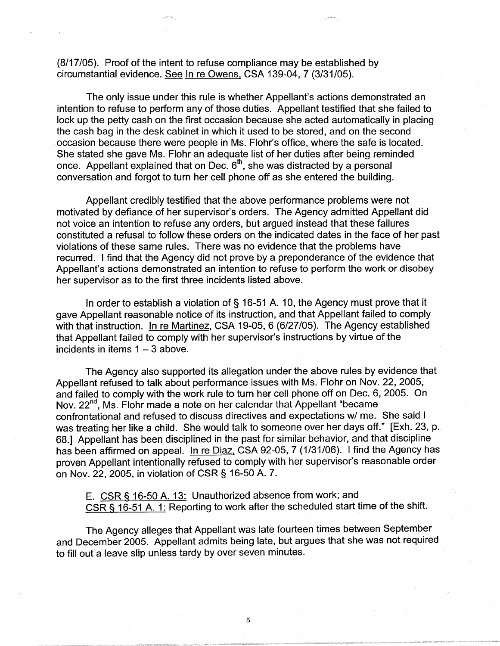(8/17 /05). Proof of the intent to refuse compliance may be established by circumstantial evidence. See In re Owens. CSA 139-04, 7 (3/31/05).

The only issue under this rule is whether Appellant's actions demonstrated an intention to refuse to perform any of those duties. Appellant testified that she failed to lock up the petty cash on the first occasion because she acted automatically in placing the cash bag in the desk cabinet in which it used to be stored, and on the second occasion because there were people in Ms. Flohr's office, where the safe is located. She stated she gave Ms. Flohr an adequate list of her duties after being reminded once. Appellant explained that on Dec.  $6<sup>th</sup>$ , she was distracted by a personal conversation and forgot to turn her cell phone off as she entered the building.

Appellant credibly testified that the above performance problems were not motivated by defiance of her supervisor's orders. The Agency admitted Appellant did not voice an intention to refuse any orders, but argued instead that these failures constituted a refusal to follow these orders on the indicated dates in the face of her past violations of these same rules. There was no evidence that the problems have recurred. I find that the Agency did not prove by a preponderance of the evidence that Appellant's actions demonstrated an intention to refuse to perform the work or disobey her supervisor as to the first three incidents listed above.

In order to establish a violation of§ 16-51 A. 10, the Agency must prove that it gave Appellant reasonable notice of its instruction, and that Appellant failed to comply with that instruction. In re Martinez, CSA 19-05, 6 (6/27/05). The Agency established that Appellant failed to comply with her supervisor's instructions by virtue of the incidents in items  $1 - 3$  above.

The Agency also supported its allegation under the above rules by evidence that Appellant refused to talk about performance issues with Ms. Flohr on Nov. 22, 2005, and failed to comply with the work rule to turn her cell phone off on Dec. 6, 2005. On Nov. 22<sup>nd</sup>, Ms. Flohr made a note on her calendar that Appellant "became" confrontational and refused to discuss directives and expectations w/ me. She said I was treating her like a child. She would talk to someone over her days off." [Exh. 23, p. 68.] Appellant has been disciplined in the past for similar behavior, and that discipline has been affirmed on appeal. In re Diaz, CSA 92-05, 7 (1/31/06). I find the Agency has proven Appellant intentionally refused to comply with her supervisor's reasonable order on Nov. 22, 2005, in violation of CSR§ 16-50 A. 7.

E. CSR § 16-50 A. 13: Unauthorized absence from work; and CSR § 16-51 A. 1: Reporting to work after the scheduled start time of the shift.

The Agency alleges that Appellant was late fourteen times between September and December 2005. Appellant admits being late, but argues that she was not required to fill out a leave slip unless tardy by over seven minutes.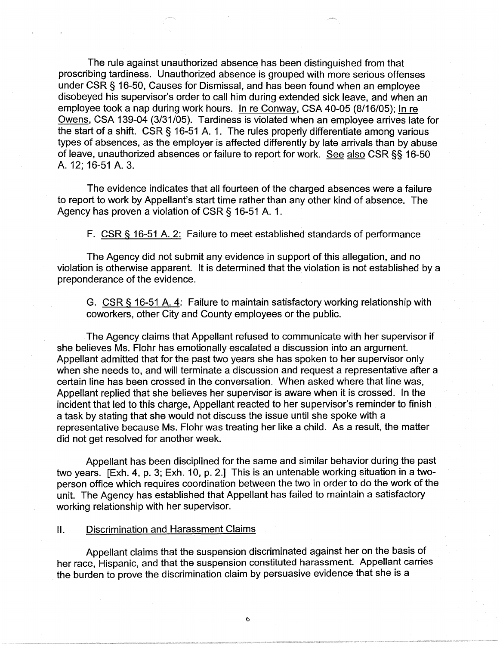The rule against unauthorized absence has been distinguished from that proscribing tardiness. Unauthorized absence is grouped with more serious offenses under CSR § 16-50, Causes for Dismissal, and has been found when an employee disobeyed his supervisor's order to call him during extended sick leave, and when an employee took a nap during work hours. In re Conway, CSA 40-05 (8/16/05); In re Owens, CSA 139-04 (3/31/05). Tardiness is violated when an employee arrives late for the start of a shift. CSR § 16-51 A. 1. The rules properly differentiate among various types of absences, as the employer is affected differently by late arrivals than by abuse of leave, unauthorized absences or failure to report for work. See also CSR §§ 16-50 A. 12; 16-51 A. 3.

The evidence indicates that all fourteen of the charged absences were a failure to report to work by Appellant's start time rather than any other kind of absence. The Agency has proven a violation of CSR§ 16-51 A. 1.

F. CSR§ 16-51 A. 2: Failure to meet established standards of performance

The Agency did not submit any evidence in support of this allegation, and no violation is otherwise apparent. It is determined that the violation is not established by a preponderance of the evidence.

G. CSR § 16-51 A. 4: Failure to maintain satisfactory working relationship with coworkers, other City and County employees or the public.

The Agency claims that Appellant refused to communicate with her supervisor if she believes Ms. Flohr has emotionally escalated a discussion into an argument. Appellant admitted that for the past two years she has spoken to her supervisor only when she needs to, and will terminate a discussion and request a representative after a certain line has been crossed in the conversation. When asked where that line was, Appellant replied that she believes her supervisor is aware when it is crossed. In the incident that led to this charge, Appellant reacted to her supervisor's reminder to finish a task by stating that she would not discuss the issue until she spoke with a representative because Ms. Flohr was treating her like a child. As a result, the matter did not get resolved for another week.

Appellant has been disciplined for the same and similar behavior during the past two years. [Exh. 4, p. 3; Exh. 10, p. 2.] This is an untenable working situation in a twoperson office which requires coordination between the two in order to do the work of the unit. The Agency has established that Appellant has failed to maintain a satisfactory working relationship with her supervisor.

# II. Discrimination and Harassment Claims

Appellant claims that the suspension discriminated against her on the basis of her race, Hispanic, and that the suspension constituted harassment. Appellant carries the burden to prove the discrimination claim by persuasive evidence that she is a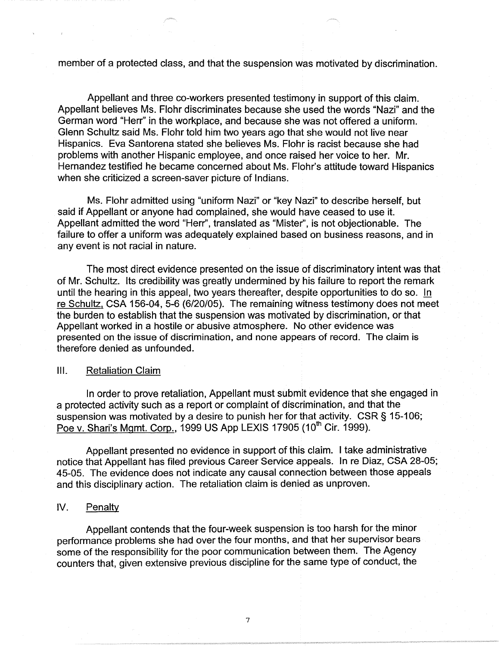member of a protected class, and that the suspension was motivated by discrimination.

Appellant and three co-workers presented testimony in support of this claim. Appellant believes Ms. Flohr discriminates because she used the words "Nazi" and the German word "Herr" in the workplace, and because she was not offered a uniform. Glenn Schultz said Ms. Flohr told him two years ago that she would not live near Hispanics. Eva Santorena stated she believes Ms. Flohr is racist because she had problems with another Hispanic employee, and once raised her voice to her. Mr. Hernandez testified he became concerned about Ms. Flohr's attitude toward Hispanics when she criticized a screen-saver picture of Indians.

Ms. Flohr admitted using "uniform Nazi" or "key Nazi" to describe herself, but said if Appellant or anyone had complained, she would have ceased to use it. Appellant admitted the word "Herr'', translated as "Mister", is not objectionable. The failure to offer a uniform was adequately explained based on business reasons, and in any event is not racial in nature.

The most direct evidence presented on the issue of discriminatory intent was that of Mr. Schultz. Its credibility was greatly undermined by his failure to report the remark until the hearing in this appeal, two years thereafter, despite opportunities to do so. !n re Schultz, CSA 156-04, 5-6 (6/20/05). The remaining witness testimony does not meet the burden to establish that the suspension was motivated by discrimination, or that Appellant worked in a hostile or abusive atmosphere. No other evidence was presented on the issue of discrimination, and none appears of record. The claim is therefore denied as unfounded.

## Ill. Retaliation Claim

In order to prove retaliation, Appellant must submit evidence that she engaged in a protected activity such as a report or complaint of discrimination, and that the suspension was motivated by a desire to punish her for that activity. CSR § 15-106; Poe v. Shari's Mgmt. Corp., 1999 US App LEXIS 17905 (10<sup>th</sup> Cir. 1999).

Appellant presented no evidence in support of this claim. I take administrative notice that Appellant has filed previous Career Service appeals. In re Diaz, CSA 28-05; 45-05. The evidence does not indicate any causal connection between those appeals and this disciplinary action. The retaliation claim is denied as unproven.

# IV. Penalty

Appellant contends that the four-week suspension is too harsh for the minor performance problems she had over the four months, and that her supervisor bears some of the responsibility for the poor communication between them. The Agency counters that, given extensive previous discipline for the same type of conduct, the